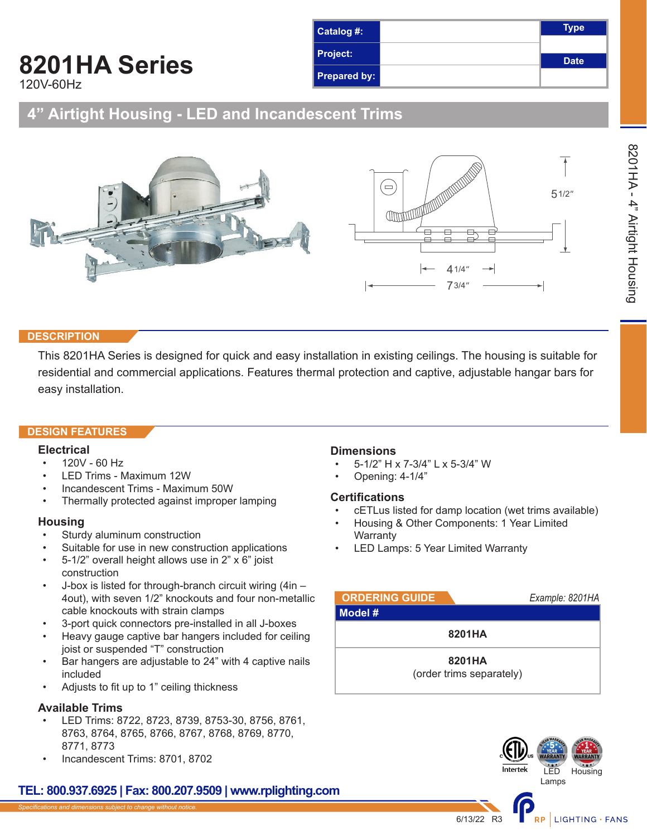### **Type Date Catalog #: Project: Prepared by:**

## **8201HA Series**

120V-60Hz

### **4" Airtight Housing - LED and Incandescent Trims**



### **DESCRIPTION**

This 8201HA Series is designed for quick and easy installation in existing ceilings. The housing is suitable for residential and commercial applications. Features thermal protection and captive, adjustable hangar bars for easy installation.

### **DESIGN FEATURES**

### **Electrical**

- 120V 60 Hz
- LED Trims Maximum 12W
- Incandescent Trims Maximum 50W
- Thermally protected against improper lamping

#### **Housing**

- Sturdy aluminum construction
- Suitable for use in new construction applications
- 5-1/2" overall height allows use in 2" x 6" joist construction
- J-box is listed for through-branch circuit wiring (4in 4out), with seven 1/2" knockouts and four non-metallic cable knockouts with strain clamps
- 3-port quick connectors pre-installed in all J-boxes
- Heavy gauge captive bar hangers included for ceiling joist or suspended "T" construction
- Bar hangers are adjustable to 24" with 4 captive nails included
- Adjusts to fit up to 1" ceiling thickness

### **Available Trims**

- LED Trims: 8722, 8723, 8739, 8753-30, 8756, 8761, 8763, 8764, 8765, 8766, 8767, 8768, 8769, 8770, 8771, 8773
- Incandescent Trims: 8701, 8702

### **TEL: 800.937.6925 | Fax: 800.207.9509 | www.rplighting.com**

### **Dimensions**

- 5-1/2" H x 7-3/4" L x 5-3/4" W
- Opening: 4-1/4"

### **Certifications**

- cETLus listed for damp location (wet trims available)
- Housing & Other Components: 1 Year Limited **Warranty**
- LED Lamps: 5 Year Limited Warranty

| <b>ORDERING GUIDE</b> |                                    | Example: 8201HA |
|-----------------------|------------------------------------|-----------------|
| Model #               |                                    |                 |
|                       | 8201HA                             |                 |
|                       | 8201HA<br>(order trims separately) |                 |

6/13/22 R3



RP LIGHTING · FANS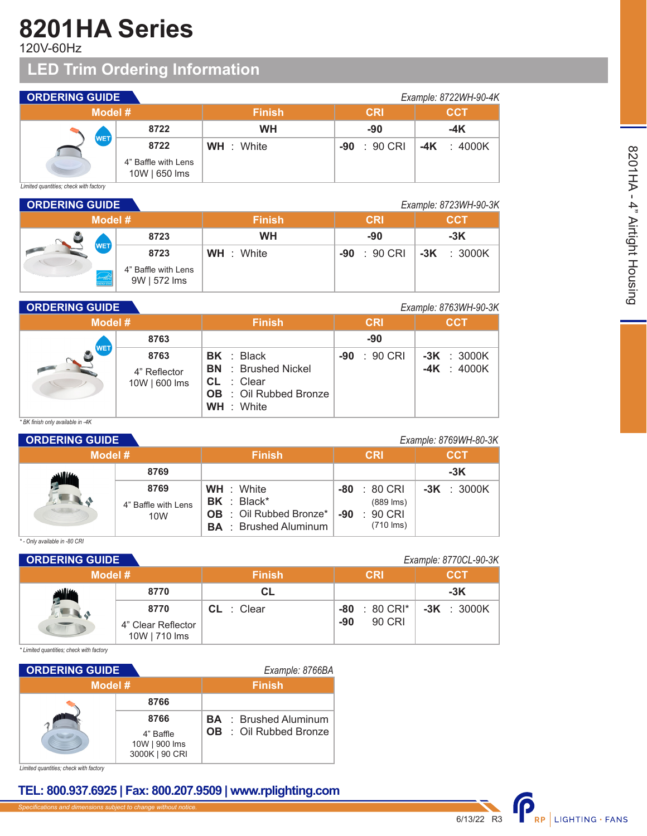# **8201HA Series**

120V-60Hz

## **LED Trim Ordering Information**

| <b>ORDERING GUIDE</b><br>Example: 8722WH-90-4K |                                      |                   |                 |                |
|------------------------------------------------|--------------------------------------|-------------------|-----------------|----------------|
| Model #                                        |                                      | <b>Finish</b>     | <b>CRI</b>      | <b>CCT</b>     |
|                                                | 8722                                 | <b>WH</b>         | -90             | $-4K$          |
| <b>WET</b>                                     | 8722                                 | <b>WH</b> : White | : 90 CRI<br>-90 | -4K<br>: 4000K |
| <b>STATISTICS</b>                              | 4" Baffle with Lens<br>10W   650 lms |                   |                 |                |

*Limited quantities; check with factory*

| <b>ORDERING GUIDE</b> |                     |                                     |                   |                 | Example: 8723WH-90-3K |
|-----------------------|---------------------|-------------------------------------|-------------------|-----------------|-----------------------|
|                       | Model #             |                                     | <b>Finish</b>     | <b>CRI</b>      | <b>CCT</b>            |
|                       |                     | 8723                                | <b>WH</b>         | -90             | $-3K$                 |
|                       | <b>WET</b>          | 8723                                | <b>WH</b> : White | : 90 CRI<br>-90 | $-3K$ : 3000K         |
|                       | enorthe<br>NERGY ST | 4" Baffle with Lens<br>9W   572 lms |                   |                 |                       |

### **ORDERING GUIDE** *Example: 8763WH-90-3K*

|            |                                       | $L$ <sup>2</sup>                                                                                            |                       |                                |
|------------|---------------------------------------|-------------------------------------------------------------------------------------------------------------|-----------------------|--------------------------------|
| Model #    |                                       | <b>Finish</b>                                                                                               | <b>CRI</b>            | <b>CCT</b>                     |
| <b>WET</b> | 8763                                  |                                                                                                             | $-90$                 |                                |
|            | 8763<br>4" Reflector<br>10W   600 lms | BK : Black<br><b>BN</b> : Brushed Nickel<br>CL: Clear<br><b>OB</b> : Oil Rubbed Bronze<br><b>WH</b> : White | $-90 : 90 \text{ CR}$ | $-3K : 3000K$<br>$-4K : 4000K$ |

*\* BK finish only available in -4K*

| <b>ORDERING GUIDE</b><br>Example: 8769WH-80-3K |                                    |                                                                                                       |                                                                           |               |
|------------------------------------------------|------------------------------------|-------------------------------------------------------------------------------------------------------|---------------------------------------------------------------------------|---------------|
| Model #                                        |                                    | <b>Finish</b>                                                                                         | <b>CRI</b>                                                                | <b>CCT</b>    |
|                                                | 8769                               |                                                                                                       |                                                                           | $-3K$         |
|                                                | 8769<br>4" Baffle with Lens<br>10W | <b>WH</b> : White<br>$BK : Black^*$<br><b>OB</b> : Oil Rubbed Bronze*<br><b>BA</b> : Brushed Aluminum | $-80 : 80 \text{ CRI}$<br>$(889$ lms)<br>$: 90$ CRI<br>-90<br>$(710$ lms) | $-3K$ : 3000K |

*\* - Only available in -80 CRI*

| <b>ORDERING GUIDE</b> |                                     |               |                          | Example: 8770CL-90-3K |
|-----------------------|-------------------------------------|---------------|--------------------------|-----------------------|
| Model #               |                                     | <b>Finish</b> | <b>CRI</b>               | <b>CCT</b>            |
|                       | 8770                                | <b>CL</b>     |                          | $-3K$                 |
|                       | 8770                                | $CL$ : Clear  | $-80 : 80 \text{ CRl}^*$ | $-3K$ : 3000K         |
|                       | 4" Clear Reflector<br>10W   710 lms |               | 90 CRI<br>-90            |                       |

*\* Limited quantities; check with factory*

| <b>ORDERING GUIDE</b> |                                              |  | Example: 8766BA               |
|-----------------------|----------------------------------------------|--|-------------------------------|
| Model #               |                                              |  | <b>Finish</b>                 |
|                       | 8766                                         |  |                               |
|                       | 8766                                         |  | <b>BA</b> : Brushed Aluminum  |
|                       | 4" Baffle<br>10W   900 lms<br>3000K   90 CRI |  | <b>OB</b> : Oil Rubbed Bronze |

*Limited quantities; check with factory*

### **TEL: 800.937.6925 | Fax: 800.207.9509 | www.rplighting.com**

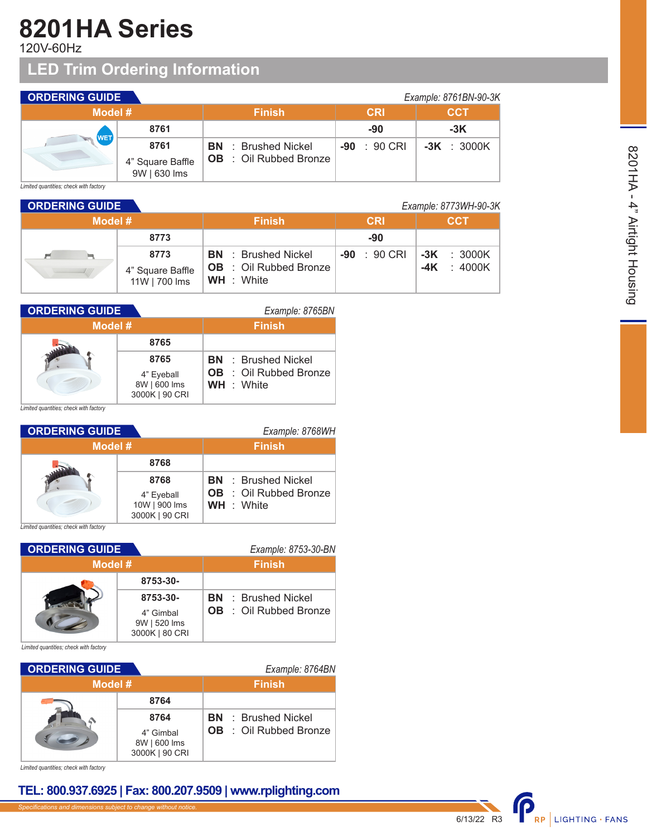# **8201HA Series**

120V-60Hz

## **LED Trim Ordering Information**

| <b>ORDERING GUIDE</b> |                                  |                               |                 | Example: 8761BN-90-3K |
|-----------------------|----------------------------------|-------------------------------|-----------------|-----------------------|
| Model #               |                                  | <b>Finish</b>                 | <b>CRI</b>      | <b>CCT</b>            |
| <b>WET</b>            | 8761                             |                               | -90             | $-3K$                 |
| <b>Second</b>         | 8761                             | <b>BN</b> : Brushed Nickel    | : 90 CRI<br>-90 | $-3K$ : 3000K         |
|                       | 4" Square Baffle<br>9W   630 lms | <b>OB</b> : Oil Rubbed Bronze |                 |                       |

*Limited quantities; check with factory*

| <b>ORDERING GUIDE</b><br>Example: 8773WH-90-3K |                                   |                                                    |                       |                     |
|------------------------------------------------|-----------------------------------|----------------------------------------------------|-----------------------|---------------------|
| Model #                                        |                                   | <b>Finish</b>                                      | <b>CRI</b>            | <b>CCT</b>          |
|                                                | 8773                              |                                                    | -90                   |                     |
| p=1                                            | 8773                              | <b>BN</b> : Brushed Nickel                         | $-90 : 90 \text{ CR}$ | $-3K$ : 3000K       |
|                                                | 4" Square Baffle<br>11W   700 lms | <b>OB</b> : Oil Rubbed Bronze<br><b>WH</b> : White |                       | $\div$ 4000K<br>-4K |

| <b>ORDERING GUIDE</b> |                                                      | Example: 8765BN                                                                  |
|-----------------------|------------------------------------------------------|----------------------------------------------------------------------------------|
| Model #               |                                                      | <b>Finish</b>                                                                    |
|                       | 8765                                                 |                                                                                  |
|                       | 8765<br>4" Eyeball<br>8W   600 lms<br>3000K   90 CRI | <b>BN</b> : Brushed Nickel<br><b>OB</b> : Oil Rubbed Bronze<br><b>WH</b> : White |

*Limited quantities; check with factory*

| <b>ORDERING GUIDE</b> |                                 | Example: 8768WH               |
|-----------------------|---------------------------------|-------------------------------|
| Model #               |                                 | <b>Finish</b>                 |
|                       | 8768                            |                               |
|                       | 8768                            | <b>BN</b> : Brushed Nickel    |
|                       | 4" Eyeball                      | <b>OB</b> : Oil Rubbed Bronze |
|                       | 10W   900 lms<br>3000K   90 CRI | <b>WH</b> : White             |

*Limited quantities; check with factory*

| <b>ORDERING GUIDE</b> |                                             | Example: 8753-30-BN           |
|-----------------------|---------------------------------------------|-------------------------------|
| Model #               |                                             | <b>Finish</b>                 |
|                       | 8753-30-                                    |                               |
|                       | 8753-30-                                    | <b>BN</b> : Brushed Nickel    |
|                       | 4" Gimbal<br>9W   520 lms<br>3000K   80 CRI | <b>OB</b> : Oil Rubbed Bronze |

*Limited quantities; check with factory*

| <b>ORDERING GUIDE</b> |                                                     | Example: 8764BN                                             |  |  |
|-----------------------|-----------------------------------------------------|-------------------------------------------------------------|--|--|
| Model #               |                                                     | <b>Finish</b>                                               |  |  |
|                       | 8764                                                |                                                             |  |  |
|                       | 8764<br>4" Gimbal<br>8W   600 lms<br>3000K   90 CRI | <b>BN</b> : Brushed Nickel<br><b>OB</b> : Oil Rubbed Bronze |  |  |

*Limited quantities; check with factory*

### **TEL: 800.937.6925 | Fax: 800.207.9509 | www.rplighting.com**